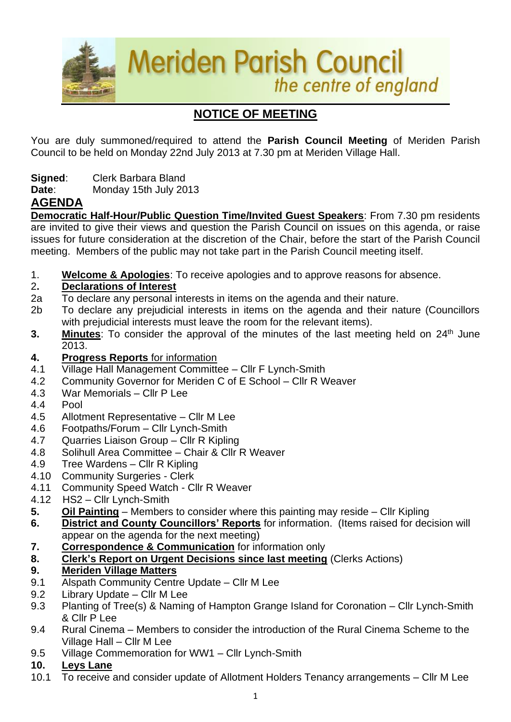

# **NOTICE OF MEETING**

You are duly summoned/required to attend the **Parish Council Meeting** of Meriden Parish Council to be held on Monday 22nd July 2013 at 7.30 pm at Meriden Village Hall.

- **Signed**: Clerk Barbara Bland
- **Date**: Monday 15th July 2013

## **AGENDA**

**Democratic Half-Hour/Public Question Time/Invited Guest Speakers**: From 7.30 pm residents are invited to give their views and question the Parish Council on issues on this agenda, or raise issues for future consideration at the discretion of the Chair, before the start of the Parish Council meeting. Members of the public may not take part in the Parish Council meeting itself.

1. **Welcome & Apologies**: To receive apologies and to approve reasons for absence.

#### 2**. Declarations of Interest**

- 2a To declare any personal interests in items on the agenda and their nature.
- 2b To declare any prejudicial interests in items on the agenda and their nature (Councillors with prejudicial interests must leave the room for the relevant items).
- **3.** Minutes: To consider the approval of the minutes of the last meeting held on 24<sup>th</sup> June 2013.
- **4. Progress Reports** for information
- 4.1 Village Hall Management Committee Cllr F Lynch-Smith
- 4.2 Community Governor for Meriden C of E School Cllr R Weaver
- 4.3 War Memorials Cllr P Lee
- 4.4 Pool
- 4.5 Allotment Representative Cllr M Lee
- 4.6 Footpaths/Forum Cllr Lynch-Smith
- 4.7 Quarries Liaison Group Cllr R Kipling
- 4.8 Solihull Area Committee Chair & Cllr R Weaver
- 4.9 Tree Wardens Cllr R Kipling
- 4.10 Community Surgeries Clerk
- 4.11 Community Speed Watch Cllr R Weaver
- 4.12 HS2 Cllr Lynch-Smith
- **5. Oil Painting** Members to consider where this painting may reside Cllr Kipling
- **6. District and County Councillors' Reports** for information. (Items raised for decision will appear on the agenda for the next meeting)
- **7. Correspondence & Communication** for information only
- **8. Clerk's Report on Urgent Decisions since last meeting** (Clerks Actions)

#### **9. Meriden Village Matters**

- 9.1 Alspath Community Centre Update Cllr M Lee
- 9.2 Library Update Cllr M Lee
- 9.3 Planting of Tree(s) & Naming of Hampton Grange Island for Coronation Cllr Lynch-Smith & Cllr P Lee
- 9.4 Rural Cinema Members to consider the introduction of the Rural Cinema Scheme to the Village Hall – Cllr M Lee
- 9.5 Village Commemoration for WW1 Cllr Lynch-Smith

#### **10. Leys Lane**

10.1 To receive and consider update of Allotment Holders Tenancy arrangements – Cllr M Lee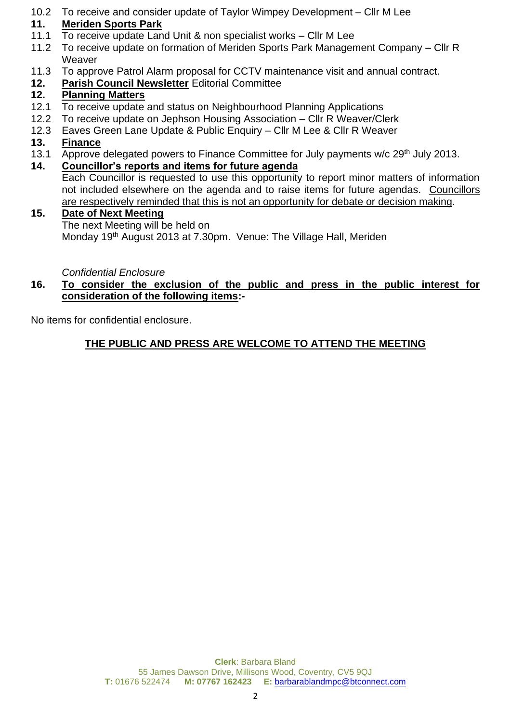10.2 To receive and consider update of Taylor Wimpey Development – Cllr M Lee

## **11. Meriden Sports Park**

- 11.1 To receive update Land Unit & non specialist works Cllr M Lee
- 11.2 To receive update on formation of Meriden Sports Park Management Company Cllr R **Weaver**
- 11.3 To approve Patrol Alarm proposal for CCTV maintenance visit and annual contract.
- **12. Parish Council Newsletter** Editorial Committee

## **12. Planning Matters**

- 12.1 To receive update and status on Neighbourhood Planning Applications
- 12.2 To receive update on Jephson Housing Association Cllr R Weaver/Clerk
- 12.3 Eaves Green Lane Update & Public Enquiry Cllr M Lee & Cllr R Weaver

### **13. Finance**

- 13.1 Approve delegated powers to Finance Committee for July payments w/c 29<sup>th</sup> July 2013.
- **14. Councillor's reports and items for future agenda**

Each Councillor is requested to use this opportunity to report minor matters of information not included elsewhere on the agenda and to raise items for future agendas. Councillors are respectively reminded that this is not an opportunity for debate or decision making.

#### **15. Date of Next Meeting**

The next Meeting will be held on Monday 19<sup>th</sup> August 2013 at 7.30pm. Venue: The Village Hall, Meriden

*Confidential Enclosure*

#### **16. To consider the exclusion of the public and press in the public interest for consideration of the following items:-**

No items for confidential enclosure.

## **THE PUBLIC AND PRESS ARE WELCOME TO ATTEND THE MEETING**